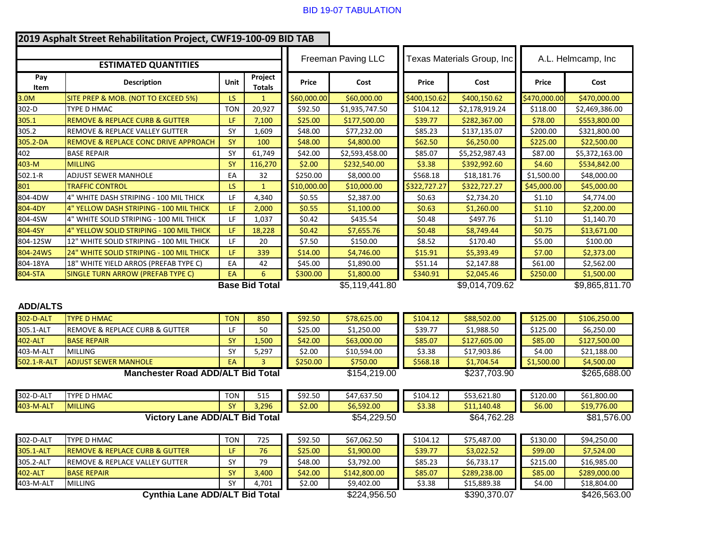## BID 19-07 TABULATION

|                                          | 2019 Asphalt Street Rehabilitation Project, CWF19-100-09 BID TAB |             |                          |             |                            |              |                            |              |                    |  |
|------------------------------------------|------------------------------------------------------------------|-------------|--------------------------|-------------|----------------------------|--------------|----------------------------|--------------|--------------------|--|
|                                          |                                                                  |             |                          |             | Freeman Paving LLC         |              | Texas Materials Group, Inc |              | A.L. Helmcamp, Inc |  |
| <b>ESTIMATED QUANTITIES</b>              |                                                                  |             |                          |             |                            |              |                            |              |                    |  |
| Pay<br>Item                              | <b>Description</b>                                               | <b>Unit</b> | Project<br><b>Totals</b> | Price       | Cost                       | Price        | Cost                       | Price        | Cost               |  |
| 3.0M                                     | SITE PREP & MOB. (NOT TO EXCEED 5%)                              | LS          |                          | \$60,000.00 | \$60,000.00                | \$400,150.62 | \$400,150.62               | \$470,000.00 | \$470,000.00       |  |
| 302-D                                    | <b>TYPE D HMAC</b>                                               | <b>TON</b>  | 20,927                   | \$92.50     | \$1,935,747.50             | \$104.12     | \$2,178,919.24             | \$118.00     | \$2,469,386.00     |  |
| 305.1                                    | <b>REMOVE &amp; REPLACE CURB &amp; GUTTER</b>                    | LF          | 7,100                    | \$25.00     | \$177,500.00               | \$39.77      | \$282,367.00               | \$78.00      | \$553,800.00       |  |
| 305.2                                    | <b>REMOVE &amp; REPLACE VALLEY GUTTER</b>                        | SY          | 1,609                    | \$48.00     | \$77,232.00                | \$85.23      | \$137,135.07               | \$200.00     | \$321,800.00       |  |
| 305.2-DA                                 | <b>REMOVE &amp; REPLACE CONC DRIVE APPROACH</b>                  | SY          | 100                      | \$48.00     | \$4,800.00                 | \$62.50      | \$6,250.00                 | \$225.00     | \$22,500.00        |  |
| 402                                      | <b>BASE REPAIR</b>                                               | SY          | 61,749                   | \$42.00     | \$2,593,458.00             | \$85.07      | \$5,252,987.43             | \$87.00      | \$5,372,163.00     |  |
| 403-M                                    | <b>MILLING</b>                                                   | SY          | 116,270                  | \$2.00      | \$232,540.00               | \$3.38       | \$392,992.60               | \$4.60       | \$534,842.00       |  |
| 502.1-R                                  | ADJUST SEWER MANHOLE                                             | EA          | 32                       | \$250.00    | \$8,000.00                 | \$568.18     | \$18,181.76                | \$1,500.00   | \$48,000.00        |  |
| 801                                      | <b>TRAFFIC CONTROL</b>                                           | <b>LS</b>   | $\mathbf{1}$             | \$10,000.00 | \$10,000.00                | \$322,727.27 | \$322,727.27               | \$45,000.00  | \$45,000.00        |  |
| 804-4DW                                  | 4" WHITE DASH STRIPING - 100 MIL THICK                           | LF          | 4,340                    | \$0.55      | \$2,387.00                 | \$0.63       | \$2,734.20                 | \$1.10       | \$4,774.00         |  |
| 804-4DY                                  | 4" YELLOW DASH STRIPING - 100 MIL THICK                          | LF          | 2,000                    | \$0.55      | \$1,100.00                 | \$0.63       | \$1,260.00                 | \$1.10       | \$2,200.00         |  |
| 804-4SW                                  | 4" WHITE SOLID STRIPING - 100 MIL THICK                          | LF          | 1,037                    | \$0.42      | \$435.54                   | \$0.48       | \$497.76                   | \$1.10       | \$1,140.70         |  |
| 804-4SY                                  | 4" YELLOW SOLID STRIPING - 100 MIL THICK                         | LF          | 18,228                   | \$0.42      | \$7,655.76                 | \$0.48       | \$8,749.44                 | \$0.75       | \$13,671.00        |  |
| 804-12SW                                 | 12" WHITE SOLID STRIPING - 100 MIL THICK                         | LF.         | 20                       | \$7.50      | \$150.00                   | \$8.52       | \$170.40                   | \$5.00       | \$100.00           |  |
| 804-24WS                                 | 24" WHITE SOLID STRIPING - 100 MIL THICK                         | LF.         | 339                      | \$14.00     | \$4,746.00                 | \$15.91      | \$5,393.49                 | \$7.00       | \$2,373.00         |  |
| 804-18YA                                 | 18" WHITE YIELD ARROS (PREFAB TYPE C)                            | EA          | 42                       | \$45.00     | \$1,890.00                 | \$51.14      | \$2,147.88                 | \$61.00      | \$2,562.00         |  |
| 804-STA                                  | SINGLE TURN ARROW (PREFAB TYPE C)                                | <b>EA</b>   | 6                        | \$300.00    | \$1,800.00                 | \$340.91     | \$2,045.46                 | \$250.00     | \$1,500.00         |  |
|                                          |                                                                  |             | <b>Base Bid Total</b>    |             | \$5,119,441.80             |              | \$9,014,709.62             |              | \$9,865,811.70     |  |
| <b>ADD/ALTS</b>                          |                                                                  |             |                          |             |                            |              |                            |              |                    |  |
| 302-D-ALT                                | <b>TYPE D HMAC</b>                                               | <b>TON</b>  | 850                      | \$92.50     | \$78,625.00                | \$104.12     | \$88,502.00                | \$125.00     | \$106,250.00       |  |
| 305.1-ALT                                | REMOVE & REPLACE CURB & GUTTER                                   | LF.         | 50                       | \$25.00     | \$1,250.00                 | \$39.77      | \$1,988.50                 | \$125.00     | \$6,250.00         |  |
| 402-ALT                                  | <b>BASE REPAIR</b>                                               | <b>SY</b>   | 1,500                    | \$42.00     | \$63,000.00                | \$85.07      | \$127,605.00               | \$85.00      | \$127,500.00       |  |
| 403-M-ALT                                | <b>MILLING</b>                                                   | SY          | 5,297                    | \$2.00      | \$10,594.00                | \$3.38       | \$17,903.86                | \$4.00       | \$21,188.00        |  |
| 502.1-R-ALT                              | <b>ADJUST SEWER MANHOLE</b>                                      | <b>EA</b>   | 3                        | \$250.00    | \$750.00                   | \$568.18     | \$1,704.54                 | \$1,500.00   | \$4,500.00         |  |
| <b>Manchester Road ADD/ALT Bid Total</b> |                                                                  |             |                          |             | \$154,219.00               |              | \$237,703.90               |              | \$265,688.00       |  |
| 302-D-ALT                                | <b>TYPE D HMAC</b>                                               | <b>TON</b>  | 515                      | \$92.50     | \$47,637.50                | \$104.12     | \$53,621.80                | \$120.00     | \$61,800.00        |  |
| 403-M-ALT                                | <b>MILLING</b>                                                   | <b>SY</b>   | 3,296                    | \$2.00      | \$6,592.00                 | \$3.38       | \$11,140.48                | \$6.00       | \$19,776.00        |  |
| <b>Victory Lane ADD/ALT Bid Total</b>    |                                                                  |             |                          |             | \$54,229.50<br>\$64,762.28 |              |                            | \$81,576.00  |                    |  |
| 302-D-ALT                                | TYPE D HMAC                                                      | <b>TON</b>  | 725                      | \$92.50     | \$67,062.50                | \$104.12     | \$75,487.00                | \$130.00     | \$94,250.00        |  |
| 305.1-ALT                                | <b>REMOVE &amp; REPLACE CURB &amp; GUTTER</b>                    | LF          | 76                       | \$25.00     | \$1,900.00                 | \$39.77      | \$3,022.52                 | \$99.00      | \$7,524.00         |  |
| 305.2-ALT                                | REMOVE & REPLACE VALLEY GUTTER                                   | SY          | 79                       | \$48.00     | \$3,792.00                 | \$85.23      | \$6,733.17                 | \$215.00     | \$16,985.00        |  |
| 402-ALT                                  | <b>BASE REPAIR</b>                                               | SY          | 3,400                    | \$42.00     | \$142,800.00               | \$85.07      | \$289,238.00               | \$85.00      | \$289,000.00       |  |
| 403-M-ALT                                | <b>MILLING</b>                                                   | <b>SY</b>   | 4,701                    | \$2.00      | \$9,402.00                 | \$3.38       | \$15,889.38                | \$4.00       | \$18,804.00        |  |
|                                          | <b>Cynthia Lane ADD/ALT Bid Total</b>                            |             |                          |             | \$224,956.50               |              | \$390,370.07               |              | \$426,563.00       |  |